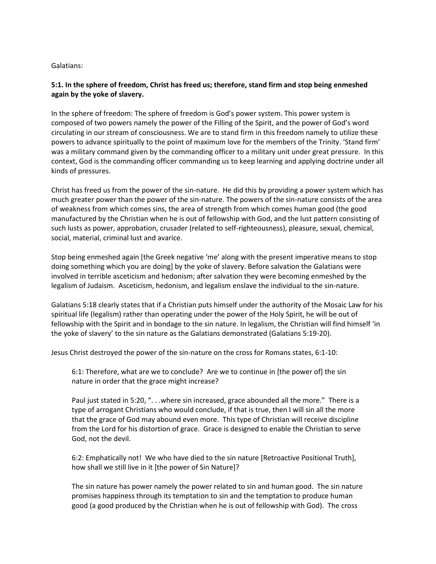#### Galatians:

### **5:1. In the sphere of freedom, Christ has freed us; therefore, stand firm and stop being enmeshed again by the yoke of slavery.**

In the sphere of freedom: The sphere of freedom is God's power system. This power system is composed of two powers namely the power of the Filling of the Spirit, and the power of God's word circulating in our stream of consciousness. We are to stand firm in this freedom namely to utilize these powers to advance spiritually to the point of maximum love for the members of the Trinity. 'Stand firm' was a military command given by the commanding officer to a military unit under great pressure. In this context, God is the commanding officer commanding us to keep learning and applying doctrine under all kinds of pressures.

Christ has freed us from the power of the sin-nature. He did this by providing a power system which has much greater power than the power of the sin-nature. The powers of the sin-nature consists of the area of weakness from which comes sins, the area of strength from which comes human good (the good manufactured by the Christian when he is out of fellowship with God, and the lust pattern consisting of such lusts as power, approbation, crusader (related to self-righteousness), pleasure, sexual, chemical, social, material, criminal lust and avarice.

Stop being enmeshed again [the Greek negative 'me' along with the present imperative means to stop doing something which you are doing] by the yoke of slavery. Before salvation the Galatians were involved in terrible asceticism and hedonism; after salvation they were becoming enmeshed by the legalism of Judaism. Asceticism, hedonism, and legalism enslave the individual to the sin-nature.

Galatians 5:18 clearly states that if a Christian puts himself under the authority of the Mosaic Law for his spiritual life (legalism) rather than operating under the power of the Holy Spirit, he will be out of fellowship with the Spirit and in bondage to the sin nature. In legalism, the Christian will find himself 'in the yoke of slavery' to the sin nature as the Galatians demonstrated (Galatians 5:19-20).

Jesus Christ destroyed the power of the sin-nature on the cross for Romans states, 6:1-10:

6:1: Therefore, what are we to conclude? Are we to continue in [the power of] the sin nature in order that the grace might increase?

Paul just stated in 5:20, ". . .where sin increased, grace abounded all the more." There is a type of arrogant Christians who would conclude, if that is true, then I will sin all the more that the grace of God may abound even more. This type of Christian will receive discipline from the Lord for his distortion of grace. Grace is designed to enable the Christian to serve God, not the devil.

6:2: Emphatically not! We who have died to the sin nature [Retroactive Positional Truth], how shall we still live in it [the power of Sin Nature]?

The sin nature has power namely the power related to sin and human good. The sin nature promises happiness through its temptation to sin and the temptation to produce human good (a good produced by the Christian when he is out of fellowship with God). The cross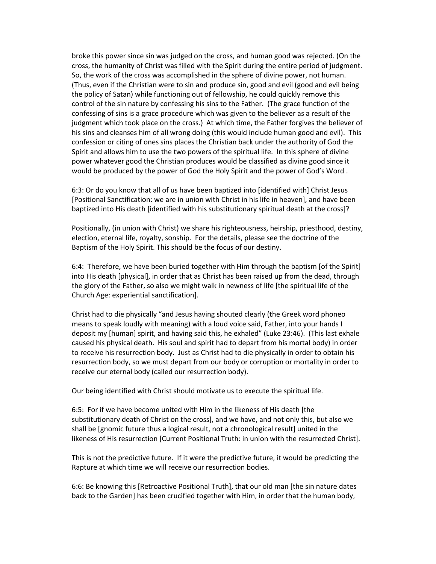broke this power since sin was judged on the cross, and human good was rejected. (On the cross, the humanity of Christ was filled with the Spirit during the entire period of judgment. So, the work of the cross was accomplished in the sphere of divine power, not human. (Thus, even if the Christian were to sin and produce sin, good and evil (good and evil being the policy of Satan) while functioning out of fellowship, he could quickly remove this control of the sin nature by confessing his sins to the Father. (The grace function of the confessing of sins is a grace procedure which was given to the believer as a result of the judgment which took place on the cross.) At which time, the Father forgives the believer of his sins and cleanses him of all wrong doing (this would include human good and evil). This confession or citing of ones sins places the Christian back under the authority of God the Spirit and allows him to use the two powers of the spiritual life. In this sphere of divine power whatever good the Christian produces would be classified as divine good since it would be produced by the power of God the Holy Spirit and the power of God's Word .

6:3: Or do you know that all of us have been baptized into [identified with] Christ Jesus [Positional Sanctification: we are in union with Christ in his life in heaven], and have been baptized into His death [identified with his substitutionary spiritual death at the cross]?

Positionally, (in union with Christ) we share his righteousness, heirship, priesthood, destiny, election, eternal life, royalty, sonship. For the details, please see the doctrine of the Baptism of the Holy Spirit. This should be the focus of our destiny.

6:4: Therefore, we have been buried together with Him through the baptism [of the Spirit] into His death [physical], in order that as Christ has been raised up from the dead, through the glory of the Father, so also we might walk in newness of life [the spiritual life of the Church Age: experiential sanctification].

Christ had to die physically "and Jesus having shouted clearly (the Greek word phoneo means to speak loudly with meaning) with a loud voice said, Father, into your hands I deposit my [human] spirit, and having said this, he exhaled" (Luke 23:46). (This last exhale caused his physical death. His soul and spirit had to depart from his mortal body) in order to receive his resurrection body. Just as Christ had to die physically in order to obtain his resurrection body, so we must depart from our body or corruption or mortality in order to receive our eternal body (called our resurrection body).

Our being identified with Christ should motivate us to execute the spiritual life.

6:5: For if we have become united with Him in the likeness of His death [the substitutionary death of Christ on the cross], and we have, and not only this, but also we shall be [gnomic future thus a logical result, not a chronological result] united in the likeness of His resurrection [Current Positional Truth: in union with the resurrected Christ].

This is not the predictive future. If it were the predictive future, it would be predicting the Rapture at which time we will receive our resurrection bodies.

6:6: Be knowing this [Retroactive Positional Truth], that our old man [the sin nature dates back to the Garden] has been crucified together with Him, in order that the human body,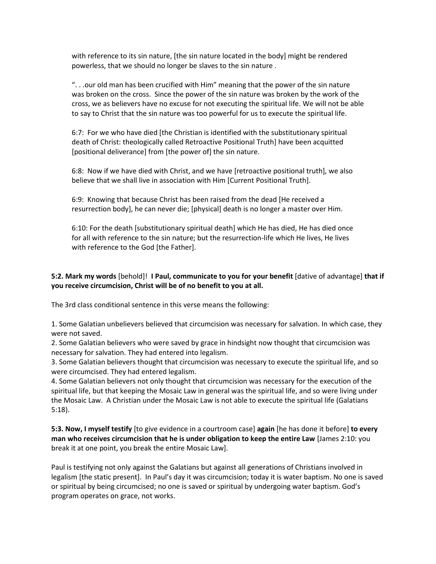with reference to its sin nature, [the sin nature located in the body] might be rendered powerless, that we should no longer be slaves to the sin nature .

". . .our old man has been crucified with Him" meaning that the power of the sin nature was broken on the cross. Since the power of the sin nature was broken by the work of the cross, we as believers have no excuse for not executing the spiritual life. We will not be able to say to Christ that the sin nature was too powerful for us to execute the spiritual life.

6:7: For we who have died [the Christian is identified with the substitutionary spiritual death of Christ: theologically called Retroactive Positional Truth] have been acquitted [positional deliverance] from [the power of] the sin nature.

6:8: Now if we have died with Christ, and we have [retroactive positional truth], we also believe that we shall live in association with Him [Current Positional Truth].

6:9: Knowing that because Christ has been raised from the dead [He received a resurrection body], he can never die; [physical] death is no longer a master over Him.

6:10: For the death [substitutionary spiritual death] which He has died, He has died once for all with reference to the sin nature; but the resurrection-life which He lives, He lives with reference to the God [the Father].

# **5:2. Mark my words** [behold]! **I Paul, communicate to you for your benefit** [dative of advantage] **that if you receive circumcision, Christ will be of no benefit to you at all.**

The 3rd class conditional sentence in this verse means the following:

1. Some Galatian unbelievers believed that circumcision was necessary for salvation. In which case, they were not saved.

2. Some Galatian believers who were saved by grace in hindsight now thought that circumcision was necessary for salvation. They had entered into legalism.

3. Some Galatian believers thought that circumcision was necessary to execute the spiritual life, and so were circumcised. They had entered legalism.

4. Some Galatian believers not only thought that circumcision was necessary for the execution of the spiritual life, but that keeping the Mosaic Law in general was the spiritual life, and so were living under the Mosaic Law. A Christian under the Mosaic Law is not able to execute the spiritual life (Galatians 5:18).

**5:3. Now, I myself testify** [to give evidence in a courtroom case] **again** [he has done it before] **to every man who receives circumcision that he is under obligation to keep the entire Law** [James 2:10: you break it at one point, you break the entire Mosaic Law].

Paul is testifying not only against the Galatians but against all generations of Christians involved in legalism [the static present]. In Paul's day it was circumcision; today it is water baptism. No one is saved or spiritual by being circumcised; no one is saved or spiritual by undergoing water baptism. God's program operates on grace, not works.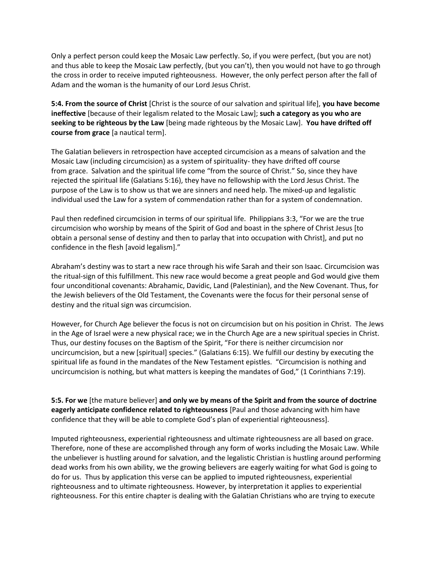Only a perfect person could keep the Mosaic Law perfectly. So, if you were perfect, (but you are not) and thus able to keep the Mosaic Law perfectly, (but you can't), then you would not have to go through the cross in order to receive imputed righteousness. However, the only perfect person after the fall of Adam and the woman is the humanity of our Lord Jesus Christ.

**5:4. From the source of Christ** [Christ is the source of our salvation and spiritual life], **you have become ineffective** [because of their legalism related to the Mosaic Law]; **such a category as you who are seeking to be righteous by the Law** [being made righteous by the Mosaic Law]. **You have drifted off course from grace** [a nautical term].

The Galatian believers in retrospection have accepted circumcision as a means of salvation and the Mosaic Law (including circumcision) as a system of spirituality- they have drifted off course from grace. Salvation and the spiritual life come "from the source of Christ." So, since they have rejected the spiritual life (Galatians 5:16), they have no fellowship with the Lord Jesus Christ. The purpose of the Law is to show us that we are sinners and need help. The mixed-up and legalistic individual used the Law for a system of commendation rather than for a system of condemnation.

Paul then redefined circumcision in terms of our spiritual life. Philippians 3:3, "For we are the true circumcision who worship by means of the Spirit of God and boast in the sphere of Christ Jesus [to obtain a personal sense of destiny and then to parlay that into occupation with Christ], and put no confidence in the flesh [avoid legalism]."

Abraham's destiny was to start a new race through his wife Sarah and their son Isaac. Circumcision was the ritual-sign of this fulfillment. This new race would become a great people and God would give them four unconditional covenants: Abrahamic, Davidic, Land (Palestinian), and the New Covenant. Thus, for the Jewish believers of the Old Testament, the Covenants were the focus for their personal sense of destiny and the ritual sign was circumcision.

However, for Church Age believer the focus is not on circumcision but on his position in Christ. The Jews in the Age of Israel were a new physical race; we in the Church Age are a new spiritual species in Christ. Thus, our destiny focuses on the Baptism of the Spirit, "For there is neither circumcision nor uncircumcision, but a new [spiritual] species." (Galatians 6:15). We fulfill our destiny by executing the spiritual life as found in the mandates of the New Testament epistles. "Circumcision is nothing and uncircumcision is nothing, but what matters is keeping the mandates of God," (1 Corinthians 7:19).

**5:5. For we** [the mature believer] **and only we by means of the Spirit and from the source of doctrine eagerly anticipate confidence related to righteousness** [Paul and those advancing with him have confidence that they will be able to complete God's plan of experiential righteousness].

Imputed righteousness, experiential righteousness and ultimate righteousness are all based on grace. Therefore, none of these are accomplished through any form of works including the Mosaic Law. While the unbeliever is hustling around for salvation, and the legalistic Christian is hustling around performing dead works from his own ability, we the growing believers are eagerly waiting for what God is going to do for us. Thus by application this verse can be applied to imputed righteousness, experiential righteousness and to ultimate righteousness. However, by interpretation it applies to experiential righteousness. For this entire chapter is dealing with the Galatian Christians who are trying to execute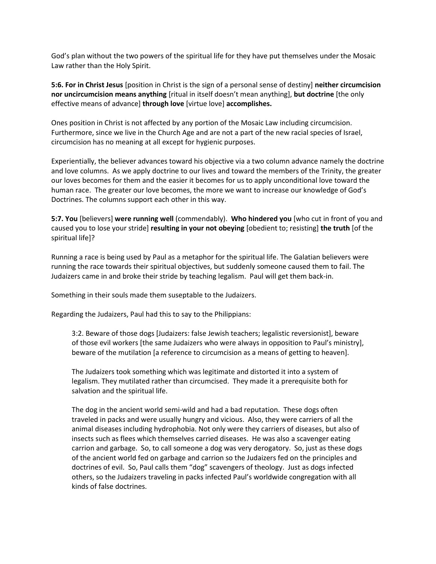God's plan without the two powers of the spiritual life for they have put themselves under the Mosaic Law rather than the Holy Spirit.

**5:6. For in Christ Jesus** [position in Christ is the sign of a personal sense of destiny] **neither circumcision nor uncircumcision means anything** [ritual in itself doesn't mean anything], **but doctrine** [the only effective means of advance] **through love** [virtue love] **accomplishes.**

Ones position in Christ is not affected by any portion of the Mosaic Law including circumcision. Furthermore, since we live in the Church Age and are not a part of the new racial species of Israel, circumcision has no meaning at all except for hygienic purposes.

Experientially, the believer advances toward his objective via a two column advance namely the doctrine and love columns. As we apply doctrine to our lives and toward the members of the Trinity, the greater our loves becomes for them and the easier it becomes for us to apply unconditional love toward the human race. The greater our love becomes, the more we want to increase our knowledge of God's Doctrines. The columns support each other in this way.

**5:7. You** [believers] **were running well** (commendably). **Who hindered you** [who cut in front of you and caused you to lose your stride] **resulting in your not obeying** [obedient to; resisting] **the truth** [of the spiritual life]?

Running a race is being used by Paul as a metaphor for the spiritual life. The Galatian believers were running the race towards their spiritual objectives, but suddenly someone caused them to fail. The Judaizers came in and broke their stride by teaching legalism. Paul will get them back-in.

Something in their souls made them suseptable to the Judaizers.

Regarding the Judaizers, Paul had this to say to the Philippians:

3:2. Beware of those dogs [Judaizers: false Jewish teachers; legalistic reversionist], beware of those evil workers [the same Judaizers who were always in opposition to Paul's ministry], beware of the mutilation [a reference to circumcision as a means of getting to heaven].

The Judaizers took something which was legitimate and distorted it into a system of legalism. They mutilated rather than circumcised. They made it a prerequisite both for salvation and the spiritual life.

The dog in the ancient world semi-wild and had a bad reputation. These dogs often traveled in packs and were usually hungry and vicious. Also, they were carriers of all the animal diseases including hydrophobia. Not only were they carriers of diseases, but also of insects such as flees which themselves carried diseases. He was also a scavenger eating carrion and garbage. So, to call someone a dog was very derogatory. So, just as these dogs of the ancient world fed on garbage and carrion so the Judaizers fed on the principles and doctrines of evil. So, Paul calls them "dog" scavengers of theology. Just as dogs infected others, so the Judaizers traveling in packs infected Paul's worldwide congregation with all kinds of false doctrines.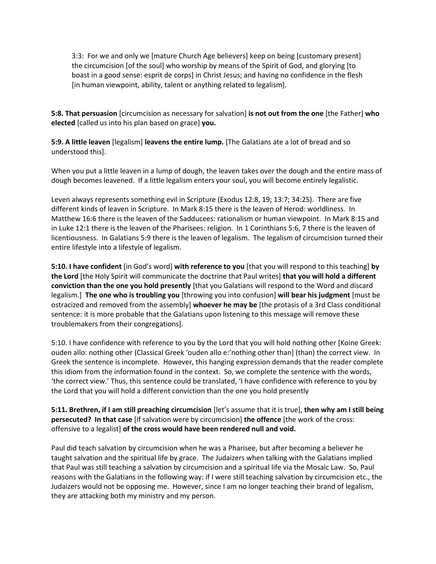3:3: For we and only we [mature Church Age believers] keep on being [customary present] the circumcision [of the soul] who worship by means of the Spirit of God, and glorying [to boast in a good sense: esprit de corps] in Christ Jesus; and having no confidence in the flesh [in human viewpoint, ability, talent or anything related to legalism].

**5:8. That persuasion** [circumcision as necessary for salvation] **is not out from the one** [the Father] **who elected** [called us into his plan based on grace] **you.**

**5:9. A little leaven** [legalism] **leavens the entire lump.** [The Galatians ate a lot of bread and so understood this].

When you put a little leaven in a lump of dough, the leaven takes over the dough and the entire mass of dough becomes leavened. If a little legalism enters your soul, you will become entirely legalistic.

Leven always represents something evil in Scripture (Exodus 12:8, 19; 13:7; 34:25). There are five different kinds of leaven in Scripture. In Mark 8:15 there is the leaven of Herod: worldliness. In Matthew 16:6 there is the leaven of the Sadducees: rationalism or human viewpoint. In Mark 8:15 and in Luke 12:1 there is the leaven of the Pharisees: religion. In 1 Corinthians 5:6, 7 there is the leaven of licentiousness. In Galatians 5:9 there is the leaven of legalism. The legalism of circumcision turned their entire lifestyle into a lifestyle of legalism.

**5:10. I have confident** [in God's word] **with reference to you** [that you will respond to this teaching] **by the Lord** [the Holy Spirit will communicate the doctrine that Paul writes] **that you will hold a different conviction than the one you hold presently** [that you Galatians will respond to the Word and discard legalism.] **The one who is troubling you** [throwing you into confusion] **will bear his judgment** [must be ostracized and removed from the assembly] **whoever he may be** [the protasis of a 3rd Class conditional sentence: it is more probable that the Galatians upon listening to this message will remove these troublemakers from their congregations].

5:10. I have confidence with reference to you by the Lord that you will hold nothing other [Koine Greek: ouden allo: nothing other (Classical Greek 'ouden allo e:'nothing other than] (than) the correct view. In Greek the sentence is incomplete. However, this hanging expression demands that the reader complete this idiom from the information found in the context. So, we complete the sentence with the words, 'the correct view.' Thus, this sentence could be translated, 'I have confidence with reference to you by the Lord that you will hold a different conviction than the one you hold presently

**5:11. Brethren, if I am still preaching circumcision** [let's assume that it is true], **then why am I still being persecuted? In that case** [if salvation were by circumcision] **the offence** [the work of the cross: offensive to a legalist] **of the cross would have been rendered null and void.** 

Paul did teach salvation by circumcision when he was a Pharisee, but after becoming a believer he taught salvation and the spiritual life by grace. The Judaizers when talking with the Galatians implied that Paul was still teaching a salvation by circumcision and a spiritual life via the Mosaic Law. So, Paul reasons with the Galatians in the following way: if I were still teaching salvation by circumcision etc., the Judaizers would not be opposing me. However, since I am no longer teaching their brand of legalism, they are attacking both my ministry and my person.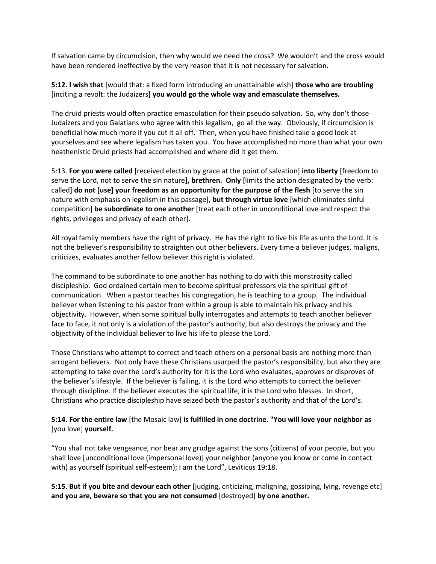If salvation came by circumcision, then why would we need the cross? We wouldn't and the cross would have been rendered ineffective by the very reason that it is not necessary for salvation.

**5:12. I wish that** [would that: a fixed form introducing an unattainable wish] **those who are troubling** [inciting a revolt: the Judaizers] **you would go the whole way and emasculate themselves.** 

The druid priests would often practice emasculation for their pseudo salvation. So, why don't those Judaizers and you Galatians who agree with this legalism, go all the way. Obviously, if circumcision is beneficial how much more if you cut it all off. Then, when you have finished take a good look at yourselves and see where legalism has taken you. You have accomplished no more than what your own heathenistic Druid priests had accomplished and where did it get them.

5:13. **For you were called** [received election by grace at the point of salvation] **into liberty** [freedom to serve the Lord, not to serve the sin nature**], brethren. Only** [limits the action designated by the verb: called] **do not [use] your freedom as an opportunity for the purpose of the flesh** [to serve the sin nature with emphasis on legalism in this passage], **but through virtue love** [which eliminates sinful competition] **be subordinate to one another** [treat each other in unconditional love and respect the rights, privileges and privacy of each other].

All royal family members have the right of privacy. He has the right to live his life as unto the Lord. It is not the believer's responsibility to straighten out other believers. Every time a believer judges, maligns, criticizes, evaluates another fellow believer this right is violated.

The command to be subordinate to one another has nothing to do with this monstrosity called discipleship. God ordained certain men to become spiritual professors via the spiritual gift of communication. When a pastor teaches his congregation, he is teaching to a group. The individual believer when listening to his pastor from within a group is able to maintain his privacy and his objectivity. However, when some spiritual bully interrogates and attempts to teach another believer face to face, it not only is a violation of the pastor's authority, but also destroys the privacy and the objectivity of the individual believer to live his life to please the Lord.

Those Christians who attempt to correct and teach others on a personal basis are nothing more than arrogant believers. Not only have these Christians usurped the pastor's responsibility, but also they are attempting to take over the Lord's authority for it is the Lord who evaluates, approves or disproves of the believer's lifestyle. If the believer is failing, it is the Lord who attempts to correct the believer through discipline. If the believer executes the spiritual life, it is the Lord who blesses. In short, Christians who practice discipleship have seized both the pastor's authority and that of the Lord's.

### **5:14. For the entire law** [the Mosaic law] **is fulfilled in one doctrine. "You will love your neighbor as**  [you love] **yourself.**

"You shall not take vengeance, nor bear any grudge against the sons (citizens) of your people, but you shall love [unconditional love (impersonal love)] your neighbor (anyone you know or come in contact with) as yourself (spiritual self-esteem); I am the Lord", Leviticus 19:18.

**5:15. But if you bite and devour each other** [judging, criticizing, maligning, gossiping, lying, revenge etc] **and you are, beware so that you are not consumed** [destroyed] **by one another.**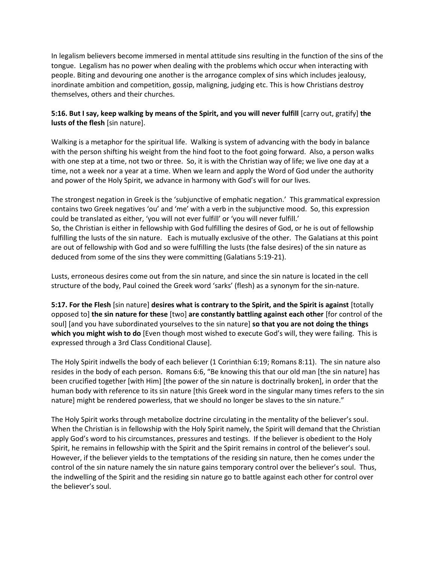In legalism believers become immersed in mental attitude sins resulting in the function of the sins of the tongue. Legalism has no power when dealing with the problems which occur when interacting with people. Biting and devouring one another is the arrogance complex of sins which includes jealousy, inordinate ambition and competition, gossip, maligning, judging etc. This is how Christians destroy themselves, others and their churches.

# **5:16. But I say, keep walking by means of the Spirit, and you will never fulfill** [carry out, gratify] **the lusts of the flesh** [sin nature].

Walking is a metaphor for the spiritual life. Walking is system of advancing with the body in balance with the person shifting his weight from the hind foot to the foot going forward. Also, a person walks with one step at a time, not two or three. So, it is with the Christian way of life; we live one day at a time, not a week nor a year at a time. When we learn and apply the Word of God under the authority and power of the Holy Spirit, we advance in harmony with God's will for our lives.

The strongest negation in Greek is the 'subjunctive of emphatic negation.' This grammatical expression contains two Greek negatives 'ou' and 'me' with a verb in the subjunctive mood. So, this expression could be translated as either, 'you will not ever fulfill' or 'you will never fulfill.' So, the Christian is either in fellowship with God fulfilling the desires of God, or he is out of fellowship fulfilling the lusts of the sin nature. Each is mutually exclusive of the other. The Galatians at this point are out of fellowship with God and so were fulfilling the lusts (the false desires) of the sin nature as deduced from some of the sins they were committing (Galatians 5:19-21).

Lusts, erroneous desires come out from the sin nature, and since the sin nature is located in the cell structure of the body, Paul coined the Greek word 'sarks' (flesh) as a synonym for the sin-nature.

**5:17. For the Flesh** [sin nature] **desires what is contrary to the Spirit, and the Spirit is against** [totally opposed to] **the sin nature for these** [two] **are constantly battling against each other** [for control of the soul] [and you have subordinated yourselves to the sin nature] **so that you are not doing the things which you might wish to do** [Even though most wished to execute God's will, they were failing. This is expressed through a 3rd Class Conditional Clause].

The Holy Spirit indwells the body of each believer (1 Corinthian 6:19; Romans 8:11). The sin nature also resides in the body of each person. Romans 6:6, "Be knowing this that our old man [the sin nature] has been crucified together [with Him] [the power of the sin nature is doctrinally broken], in order that the human body with reference to its sin nature [this Greek word in the singular many times refers to the sin nature] might be rendered powerless, that we should no longer be slaves to the sin nature."

The Holy Spirit works through metabolize doctrine circulating in the mentality of the believer's soul. When the Christian is in fellowship with the Holy Spirit namely, the Spirit will demand that the Christian apply God's word to his circumstances, pressures and testings. If the believer is obedient to the Holy Spirit, he remains in fellowship with the Spirit and the Spirit remains in control of the believer's soul. However, if the believer yields to the temptations of the residing sin nature, then he comes under the control of the sin nature namely the sin nature gains temporary control over the believer's soul. Thus, the indwelling of the Spirit and the residing sin nature go to battle against each other for control over the believer's soul.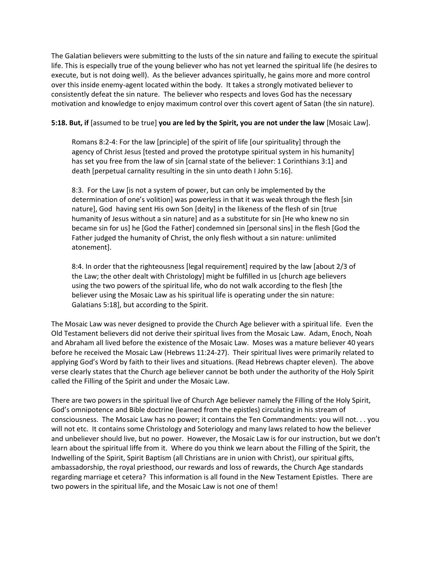The Galatian believers were submitting to the lusts of the sin nature and failing to execute the spiritual life. This is especially true of the young believer who has not yet learned the spiritual life (he desires to execute, but is not doing well). As the believer advances spiritually, he gains more and more control over this inside enemy-agent located within the body. It takes a strongly motivated believer to consistently defeat the sin nature. The believer who respects and loves God has the necessary motivation and knowledge to enjoy maximum control over this covert agent of Satan (the sin nature).

### **5:18. But, if** [assumed to be true] **you are led by the Spirit, you are not under the law** [Mosaic Law].

Romans 8:2-4: For the law [principle] of the spirit of life [our spirituality] through the agency of Christ Jesus [tested and proved the prototype spiritual system in his humanity] has set you free from the law of sin [carnal state of the believer: 1 Corinthians 3:1] and death [perpetual carnality resulting in the sin unto death I John 5:16].

8:3. For the Law [is not a system of power, but can only be implemented by the determination of one's volition] was powerless in that it was weak through the flesh [sin nature], God having sent His own Son [deity] in the likeness of the flesh of sin [true humanity of Jesus without a sin nature] and as a substitute for sin [He who knew no sin became sin for us] he [God the Father] condemned sin [personal sins] in the flesh [God the Father judged the humanity of Christ, the only flesh without a sin nature: unlimited atonement].

8:4. In order that the righteousness [legal requirement] required by the law [about 2/3 of the Law; the other dealt with Christology] might be fulfilled in us [church age believers using the two powers of the spiritual life, who do not walk according to the flesh [the believer using the Mosaic Law as his spiritual life is operating under the sin nature: Galatians 5:18], but according to the Spirit.

The Mosaic Law was never designed to provide the Church Age believer with a spiritual life. Even the Old Testament believers did not derive their spiritual lives from the Mosaic Law. Adam, Enoch, Noah and Abraham all lived before the existence of the Mosaic Law. Moses was a mature believer 40 years before he received the Mosaic Law (Hebrews 11:24-27). Their spiritual lives were primarily related to applying God's Word by faith to their lives and situations. (Read Hebrews chapter eleven). The above verse clearly states that the Church age believer cannot be both under the authority of the Holy Spirit called the Filling of the Spirit and under the Mosaic Law.

There are two powers in the spiritual live of Church Age believer namely the Filling of the Holy Spirit, God's omnipotence and Bible doctrine (learned from the epistles) circulating in his stream of consciousness. The Mosaic Law has no power; it contains the Ten Commandments: you will not. . . you will not etc. It contains some Christology and Soteriology and many laws related to how the believer and unbeliever should live, but no power. However, the Mosaic Law is for our instruction, but we don't learn about the spiritual liffe from it. Where do you think we learn about the Filling of the Spirit, the Indwelling of the Spirit, Spirit Baptism (all Christians are in union with Christ), our spiritual gifts, ambassadorship, the royal priesthood, our rewards and loss of rewards, the Church Age standards regarding marriage et cetera? This information is all found in the New Testament Epistles. There are two powers in the spiritual life, and the Mosaic Law is not one of them!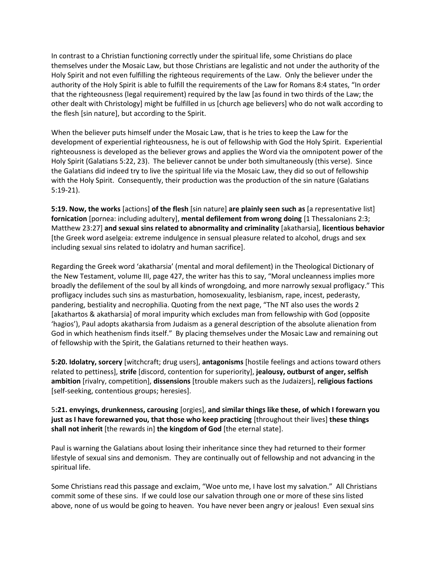In contrast to a Christian functioning correctly under the spiritual life, some Christians do place themselves under the Mosaic Law, but those Christians are legalistic and not under the authority of the Holy Spirit and not even fulfilling the righteous requirements of the Law. Only the believer under the authority of the Holy Spirit is able to fulfill the requirements of the Law for Romans 8:4 states, "In order that the righteousness (legal requirement) required by the law [as found in two thirds of the Law; the other dealt with Christology] might be fulfilled in us [church age believers] who do not walk according to the flesh [sin nature], but according to the Spirit.

When the believer puts himself under the Mosaic Law, that is he tries to keep the Law for the development of experiential righteousness, he is out of fellowship with God the Holy Spirit. Experiential righteousness is developed as the believer grows and applies the Word via the omnipotent power of the Holy Spirit (Galatians 5:22, 23). The believer cannot be under both simultaneously (this verse). Since the Galatians did indeed try to live the spiritual life via the Mosaic Law, they did so out of fellowship with the Holy Spirit. Consequently, their production was the production of the sin nature (Galatians 5:19-21).

**5:19. Now, the works** [actions] **of the flesh** [sin nature] **are plainly seen such as** [a representative list] **fornication** [pornea: including adultery], **mental defilement from wrong doing** [1 Thessalonians 2:3; Matthew 23:27] **and sexual sins related to abnormality and criminality** [akatharsia], **licentious behavior** [the Greek word aselgeia: extreme indulgence in sensual pleasure related to alcohol, drugs and sex including sexual sins related to idolatry and human sacrifice].

Regarding the Greek word 'akatharsia' (mental and moral defilement) in the Theological Dictionary of the New Testament, volume III, page 427, the writer has this to say, "Moral uncleanness implies more broadly the defilement of the soul by all kinds of wrongdoing, and more narrowly sexual profligacy." This profligacy includes such sins as masturbation, homosexuality, lesbianism, rape, incest, pederasty, pandering, bestiality and necrophilia. Quoting from the next page, "The NT also uses the words 2 [akathartos & akatharsia] of moral impurity which excludes man from fellowship with God (opposite 'hagios'), Paul adopts akatharsia from Judaism as a general description of the absolute alienation from God in which heathenism finds itself." By placing themselves under the Mosaic Law and remaining out of fellowship with the Spirit, the Galatians returned to their heathen ways.

**5:20. Idolatry, sorcery** [witchcraft; drug users], **antagonisms** [hostile feelings and actions toward others related to pettiness], **strife** [discord, contention for superiority], **jealousy, outburst of anger, selfish ambition** [rivalry, competition], **dissensions** [trouble makers such as the Judaizers], **religious factions** [self-seeking, contentious groups; heresies].

5**:21. envyings, drunkenness, carousing** [orgies], **and similar things like these, of which I forewarn you just as I have forewarned you, that those who keep practicing** [throughout their lives] **these things shall not inherit** [the rewards in] **the kingdom of God** [the eternal state].

Paul is warning the Galatians about losing their inheritance since they had returned to their former lifestyle of sexual sins and demonism. They are continually out of fellowship and not advancing in the spiritual life.

Some Christians read this passage and exclaim, "Woe unto me, I have lost my salvation." All Christians commit some of these sins. If we could lose our salvation through one or more of these sins listed above, none of us would be going to heaven. You have never been angry or jealous! Even sexual sins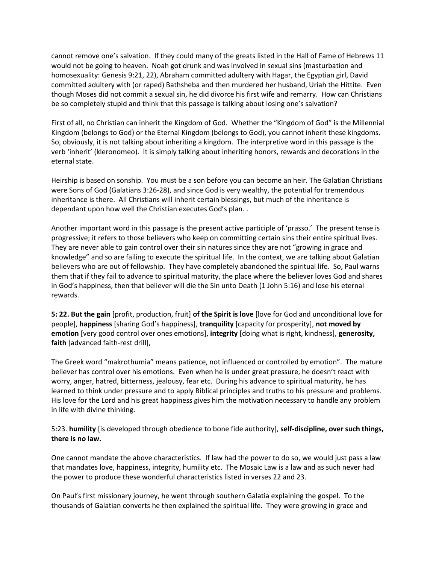cannot remove one's salvation. If they could many of the greats listed in the Hall of Fame of Hebrews 11 would not be going to heaven. Noah got drunk and was involved in sexual sins (masturbation and homosexuality: Genesis 9:21, 22), Abraham committed adultery with Hagar, the Egyptian girl, David committed adultery with (or raped) Bathsheba and then murdered her husband, Uriah the Hittite. Even though Moses did not commit a sexual sin, he did divorce his first wife and remarry. How can Christians be so completely stupid and think that this passage is talking about losing one's salvation?

First of all, no Christian can inherit the Kingdom of God. Whether the "Kingdom of God" is the Millennial Kingdom (belongs to God) or the Eternal Kingdom (belongs to God), you cannot inherit these kingdoms. So, obviously, it is not talking about inheriting a kingdom. The interpretive word in this passage is the verb 'inherit' (kleronomeo). It is simply talking about inheriting honors, rewards and decorations in the eternal state.

Heirship is based on sonship. You must be a son before you can become an heir. The Galatian Christians were Sons of God (Galatians 3:26-28), and since God is very wealthy, the potential for tremendous inheritance is there. All Christians will inherit certain blessings, but much of the inheritance is dependant upon how well the Christian executes God's plan. .

Another important word in this passage is the present active participle of 'prasso.' The present tense is progressive; it refers to those believers who keep on committing certain sins their entire spiritual lives. They are never able to gain control over their sin natures since they are not "growing in grace and knowledge" and so are failing to execute the spiritual life. In the context, we are talking about Galatian believers who are out of fellowship. They have completely abandoned the spiritual life. So, Paul warns them that if they fail to advance to spiritual maturity, the place where the believer loves God and shares in God's happiness, then that believer will die the Sin unto Death (1 John 5:16) and lose his eternal rewards.

**5: 22. But the gain** [profit, production, fruit] **of the Spirit is love** [love for God and unconditional love for people], **happiness** [sharing God's happiness], **tranquility** [capacity for prosperity], **not moved by emotion** [very good control over ones emotions], **integrity** [doing what is right, kindness], **generosity, faith** [advanced faith-rest drill],

The Greek word "makrothumia" means patience, not influenced or controlled by emotion". The mature believer has control over his emotions. Even when he is under great pressure, he doesn't react with worry, anger, hatred, bitterness, jealousy, fear etc. During his advance to spiritual maturity, he has learned to think under pressure and to apply Biblical principles and truths to his pressure and problems. His love for the Lord and his great happiness gives him the motivation necessary to handle any problem in life with divine thinking.

5:23. **humility** [is developed through obedience to bone fide authority], **self-discipline, over such things, there is no law.**

One cannot mandate the above characteristics. If law had the power to do so, we would just pass a law that mandates love, happiness, integrity, humility etc. The Mosaic Law is a law and as such never had the power to produce these wonderful characteristics listed in verses 22 and 23.

On Paul's first missionary journey, he went through southern Galatia explaining the gospel. To the thousands of Galatian converts he then explained the spiritual life. They were growing in grace and